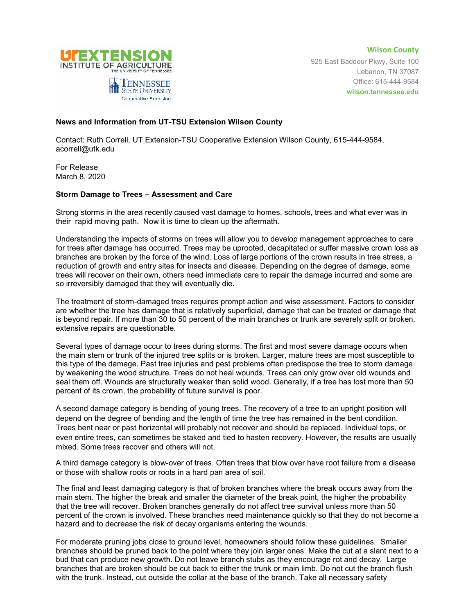

**Wilson County** 925 East Baddour Pkwy, Suite 100 Lebanon, TN 37087 Office: 615-444-9584 **wilson.tennessee.edu**

## **News and Information from UT-TSU Extension Wilson County**

Contact: Ruth Correll, UT Extension-TSU Cooperative Extension Wilson County, 615-444-9584, acorrell@utk.edu

For Release March 8, 2020

## **Storm Damage to Trees – Assessment and Care**

Strong storms in the area recently caused vast damage to homes, schools, trees and what ever was in their rapid moving path. Now it is time to clean up the aftermath.

Understanding the impacts of storms on trees will allow you to develop management approaches to care for trees after damage has occurred. Trees may be uprooted, decapitated or suffer massive crown loss as branches are broken by the force of the wind. Loss of large portions of the crown results in tree stress, a reduction of growth and entry sites for insects and disease. Depending on the degree of damage, some trees will recover on their own, others need immediate care to repair the damage incurred and some are so irreversibly damaged that they will eventually die.

The treatment of storm-damaged trees requires prompt action and wise assessment. Factors to consider are whether the tree has damage that is relatively superficial, damage that can be treated or damage that is beyond repair. If more than 30 to 50 percent of the main branches or trunk are severely split or broken, extensive repairs are questionable.

Several types of damage occur to trees during storms. The first and most severe damage occurs when the main stem or trunk of the injured tree splits or is broken. Larger, mature trees are most susceptible to this type of the damage. Past tree injuries and pest problems often predispose the tree to storm damage by weakening the wood structure. Trees do not heal wounds. Trees can only grow over old wounds and seal them off. Wounds are structurally weaker than solid wood. Generally, if a tree has lost more than 50 percent of its crown, the probability of future survival is poor.

A second damage category is bending of young trees. The recovery of a tree to an upright position will depend on the degree of bending and the length of time the tree has remained in the bent condition. Trees bent near or past horizontal will probably not recover and should be replaced. Individual tops, or even entire trees, can sometimes be staked and tied to hasten recovery. However, the results are usually mixed. Some trees recover and others will not.

A third damage category is blow-over of trees. Often trees that blow over have root failure from a disease or those with shallow roots or roots in a hard pan area of soil.

The final and least damaging category is that of broken branches where the break occurs away from the main stem. The higher the break and smaller the diameter of the break point, the higher the probability that the tree will recover. Broken branches generally do not affect tree survival unless more than 50 percent of the crown is involved. These branches need maintenance quickly so that they do not become a hazard and to decrease the risk of decay organisms entering the wounds.

For moderate pruning jobs close to ground level, homeowners should follow these guidelines. Smaller branches should be pruned back to the point where they join larger ones. Make the cut at a slant next to a bud that can produce new growth. Do not leave branch stubs as they encourage rot and decay. Large branches that are broken should be cut back to either the trunk or main limb. Do not cut the branch flush with the trunk. Instead, cut outside the collar at the base of the branch. Take all necessary safety